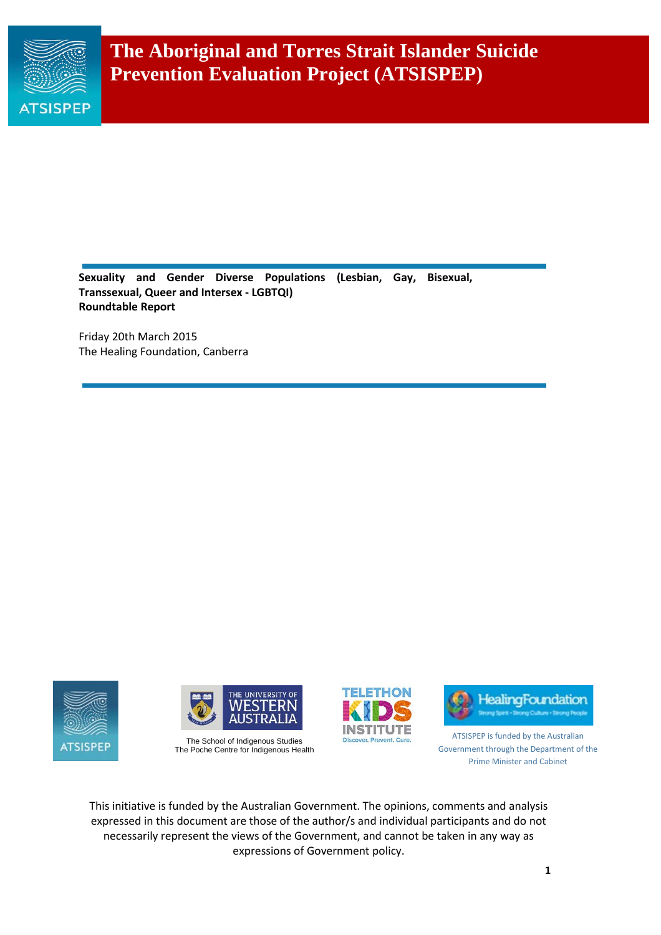

**Sexuality and Gender Diverse Populations (Lesbian, Gay, Bisexual, Transsexual, Queer and Intersex - LGBTQI) Roundtable Report**

Friday 20th March 2015 The Healing Foundation, Canberra





The School of Indigenous Studies The Poche Centre for Indigenous Health





ATSISPEP is funded by the Australian Government through the Department of the Prime Minister and Cabinet

This initiative is funded by the Australian Government. The opinions, comments and analysis expressed in this document are those of the author/s and individual participants and do not necessarily represent the views of the Government, and cannot be taken in any way as expressions of Government policy.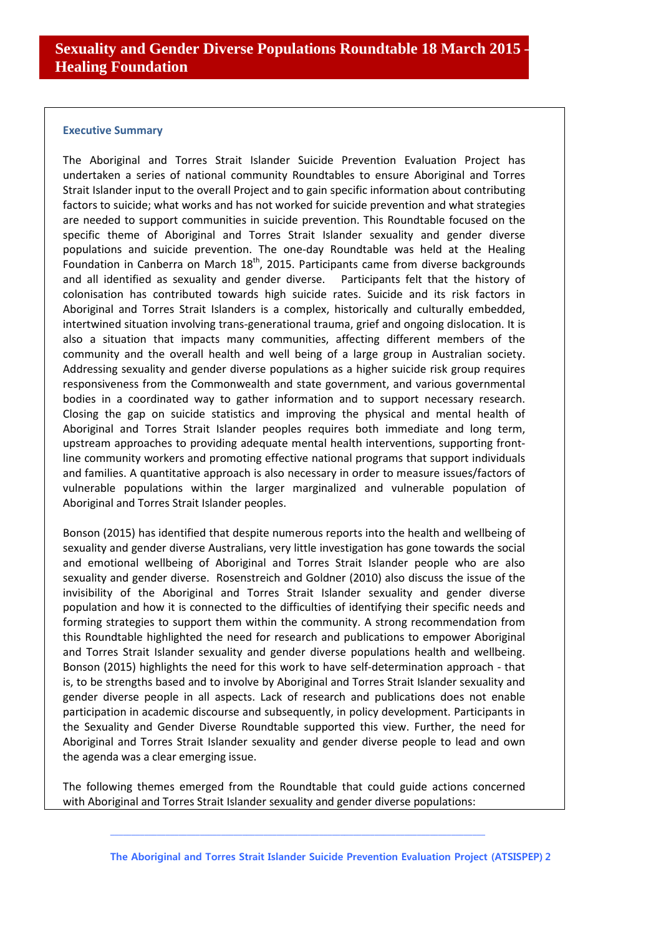#### **Executive Summary**

The Aboriginal and Torres Strait Islander Suicide Prevention Evaluation Project has undertaken a series of national community Roundtables to ensure Aboriginal and Torres Strait Islander input to the overall Project and to gain specific information about contributing factors to suicide; what works and has not worked for suicide prevention and what strategies are needed to support communities in suicide prevention. This Roundtable focused on the specific theme of Aboriginal and Torres Strait Islander sexuality and gender diverse populations and suicide prevention. The one-day Roundtable was held at the Healing Foundation in Canberra on March  $18<sup>th</sup>$ , 2015. Participants came from diverse backgrounds and all identified as sexuality and gender diverse. Participants felt that the history of colonisation has contributed towards high suicide rates. Suicide and its risk factors in Aboriginal and Torres Strait Islanders is a complex, historically and culturally embedded, intertwined situation involving trans-generational trauma, grief and ongoing dislocation. It is also a situation that impacts many communities, affecting different members of the community and the overall health and well being of a large group in Australian society. Addressing sexuality and gender diverse populations as a higher suicide risk group requires responsiveness from the Commonwealth and state government, and various governmental bodies in a coordinated way to gather information and to support necessary research. Closing the gap on suicide statistics and improving the physical and mental health of Aboriginal and Torres Strait Islander peoples requires both immediate and long term, upstream approaches to providing adequate mental health interventions, supporting frontline community workers and promoting effective national programs that support individuals and families. A quantitative approach is also necessary in order to measure issues/factors of vulnerable populations within the larger marginalized and vulnerable population of Aboriginal and Torres Strait Islander peoples.

Bonson (2015) has identified that despite numerous reports into the health and wellbeing of sexuality and gender diverse Australians, very little investigation has gone towards the social and emotional wellbeing of Aboriginal and Torres Strait Islander people who are also sexuality and gender diverse. Rosenstreich and Goldner (2010) also discuss the issue of the invisibility of the Aboriginal and Torres Strait Islander sexuality and gender diverse population and how it is connected to the difficulties of identifying their specific needs and forming strategies to support them within the community. A strong recommendation from this Roundtable highlighted the need for research and publications to empower Aboriginal and Torres Strait Islander sexuality and gender diverse populations health and wellbeing. Bonson (2015) highlights the need for this work to have self-determination approach - that is, to be strengths based and to involve by Aboriginal and Torres Strait Islander sexuality and gender diverse people in all aspects. Lack of research and publications does not enable participation in academic discourse and subsequently, in policy development. Participants in the Sexuality and Gender Diverse Roundtable supported this view. Further, the need for Aboriginal and Torres Strait Islander sexuality and gender diverse people to lead and own the agenda was a clear emerging issue.

The following themes emerged from the Roundtable that could guide actions concerned with Aboriginal and Torres Strait Islander sexuality and gender diverse populations: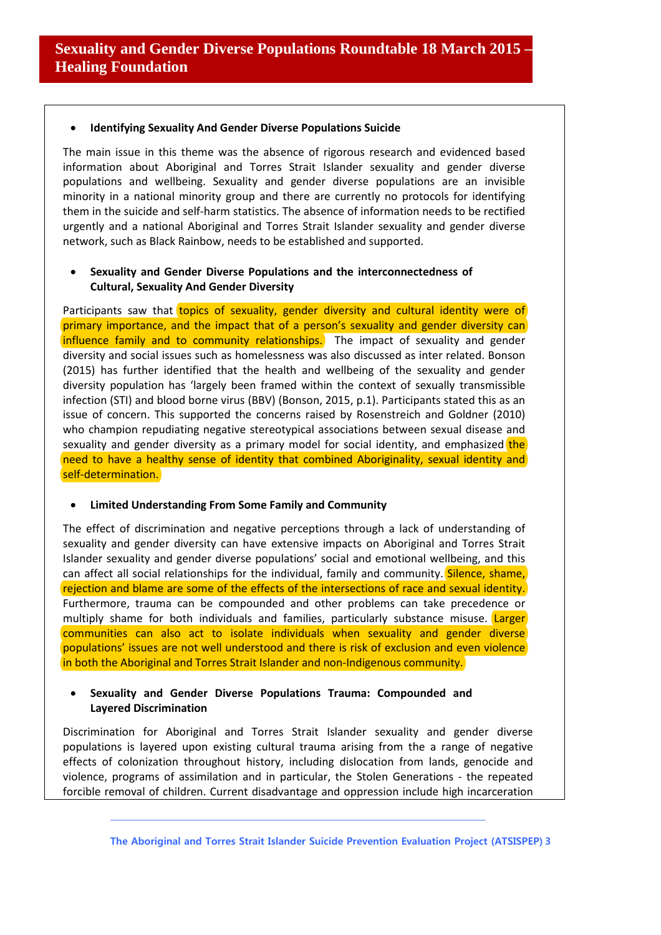### • **Identifying Sexuality And Gender Diverse Populations Suicide**

The main issue in this theme was the absence of rigorous research and evidenced based information about Aboriginal and Torres Strait Islander sexuality and gender diverse populations and wellbeing. Sexuality and gender diverse populations are an invisible minority in a national minority group and there are currently no protocols for identifying them in the suicide and self-harm statistics. The absence of information needs to be rectified urgently and a national Aboriginal and Torres Strait Islander sexuality and gender diverse network, such as Black Rainbow, needs to be established and supported.

## • **Sexuality and Gender Diverse Populations and the interconnectedness of Cultural, Sexuality And Gender Diversity**

Participants saw that topics of sexuality, gender diversity and cultural identity were of primary importance, and the impact that of a person's sexuality and gender diversity can influence family and to community relationships. The impact of sexuality and gender diversity and social issues such as homelessness was also discussed as inter related. Bonson (2015) has further identified that the health and wellbeing of the sexuality and gender diversity population has 'largely been framed within the context of sexually transmissible infection (STI) and blood borne virus (BBV) (Bonson, 2015, p.1). Participants stated this as an issue of concern. This supported the concerns raised by Rosenstreich and Goldner (2010) who champion repudiating negative stereotypical associations between sexual disease and sexuality and gender diversity as a primary model for social identity, and emphasized the need to have a healthy sense of identity that combined Aboriginality, sexual identity and self-determination.

### • **Limited Understanding From Some Family and Community**

The effect of discrimination and negative perceptions through a lack of understanding of sexuality and gender diversity can have extensive impacts on Aboriginal and Torres Strait Islander sexuality and gender diverse populations' social and emotional wellbeing, and this can affect all social relationships for the individual, family and community. Silence, shame, rejection and blame are some of the effects of the intersections of race and sexual identity. Furthermore, trauma can be compounded and other problems can take precedence or multiply shame for both individuals and families, particularly substance misuse. Larger communities can also act to isolate individuals when sexuality and gender diverse populations' issues are not well understood and there is risk of exclusion and even violence in both the Aboriginal and Torres Strait Islander and non-Indigenous community.

### • **Sexuality and Gender Diverse Populations Trauma: Compounded and Layered Discrimination**

Discrimination for Aboriginal and Torres Strait Islander sexuality and gender diverse populations is layered upon existing cultural trauma arising from the a range of negative effects of colonization throughout history, including dislocation from lands, genocide and violence, programs of assimilation and in particular, the Stolen Generations - the repeated forcible removal of children. Current disadvantage and oppression include high incarceration

**\_\_\_\_\_\_\_\_\_\_\_\_\_\_\_\_\_\_\_\_\_\_\_\_\_\_\_\_\_\_\_\_\_\_\_\_\_\_\_\_\_\_\_\_\_\_\_\_\_\_\_\_\_\_\_\_\_\_\_\_\_\_\_\_\_\_\_\_\_\_\_\_\_\_\_\_\_\_\_\_\_\_\_\_\_\_\_\_**

**The Aboriginal and Torres Strait Islander Suicide Prevention Evaluation Project (ATSISPEP) 3**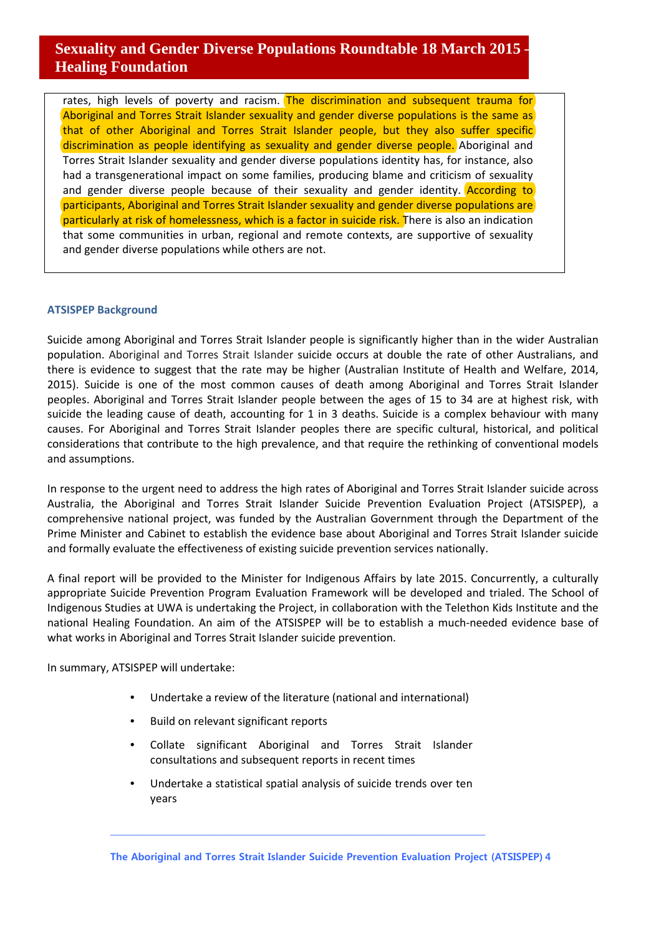rates, high levels of poverty and racism. The discrimination and subsequent trauma for Aboriginal and Torres Strait Islander sexuality and gender diverse populations is the same as that of other Aboriginal and Torres Strait Islander people, but they also suffer specific discrimination as people identifying as sexuality and gender diverse people. Aboriginal and Torres Strait Islander sexuality and gender diverse populations identity has, for instance, also had a transgenerational impact on some families, producing blame and criticism of sexuality and gender diverse people because of their sexuality and gender identity. According to participants, Aboriginal and Torres Strait Islander sexuality and gender diverse populations are particularly at risk of homelessness, which is a factor in suicide risk. There is also an indication that some communities in urban, regional and remote contexts, are supportive of sexuality and gender diverse populations while others are not.

### **ATSISPEP Background**

Suicide among Aboriginal and Torres Strait Islander people is significantly higher than in the wider Australian population. Aboriginal and Torres Strait Islander suicide occurs at double the rate of other Australians, and there is evidence to suggest that the rate may be higher (Australian Institute of Health and Welfare, 2014, 2015). Suicide is one of the most common causes of death among Aboriginal and Torres Strait Islander peoples. Aboriginal and Torres Strait Islander people between the ages of 15 to 34 are at highest risk, with suicide the leading cause of death, accounting for 1 in 3 deaths. Suicide is a complex behaviour with many causes. For Aboriginal and Torres Strait Islander peoples there are specific cultural, historical, and political considerations that contribute to the high prevalence, and that require the rethinking of conventional models and assumptions.

In response to the urgent need to address the high rates of Aboriginal and Torres Strait Islander suicide across Australia, the Aboriginal and Torres Strait Islander Suicide Prevention Evaluation Project (ATSISPEP), a comprehensive national project, was funded by the Australian Government through the Department of the Prime Minister and Cabinet to establish the evidence base about Aboriginal and Torres Strait Islander suicide and formally evaluate the effectiveness of existing suicide prevention services nationally.

A final report will be provided to the Minister for Indigenous Affairs by late 2015. Concurrently, a culturally appropriate Suicide Prevention Program Evaluation Framework will be developed and trialed. The School of Indigenous Studies at UWA is undertaking the Project, in collaboration with the Telethon Kids Institute and the national Healing Foundation. An aim of the ATSISPEP will be to establish a much-needed evidence base of what works in Aboriginal and Torres Strait Islander suicide prevention.

In summary, ATSISPEP will undertake:

- Undertake a review of the literature (national and international)
- Build on relevant significant reports
- Collate significant Aboriginal and Torres Strait Islander consultations and subsequent reports in recent times
- Undertake a statistical spatial analysis of suicide trends over ten years

**\_\_\_\_\_\_\_\_\_\_\_\_\_\_\_\_\_\_\_\_\_\_\_\_\_\_\_\_\_\_\_\_\_\_\_\_\_\_\_\_\_\_\_\_\_\_\_\_\_\_\_\_\_\_\_\_\_\_\_\_\_\_\_\_\_\_\_\_\_\_\_\_\_\_\_\_\_\_\_\_\_\_\_\_\_\_\_\_**

**The Aboriginal and Torres Strait Islander Suicide Prevention Evaluation Project (ATSISPEP) 4**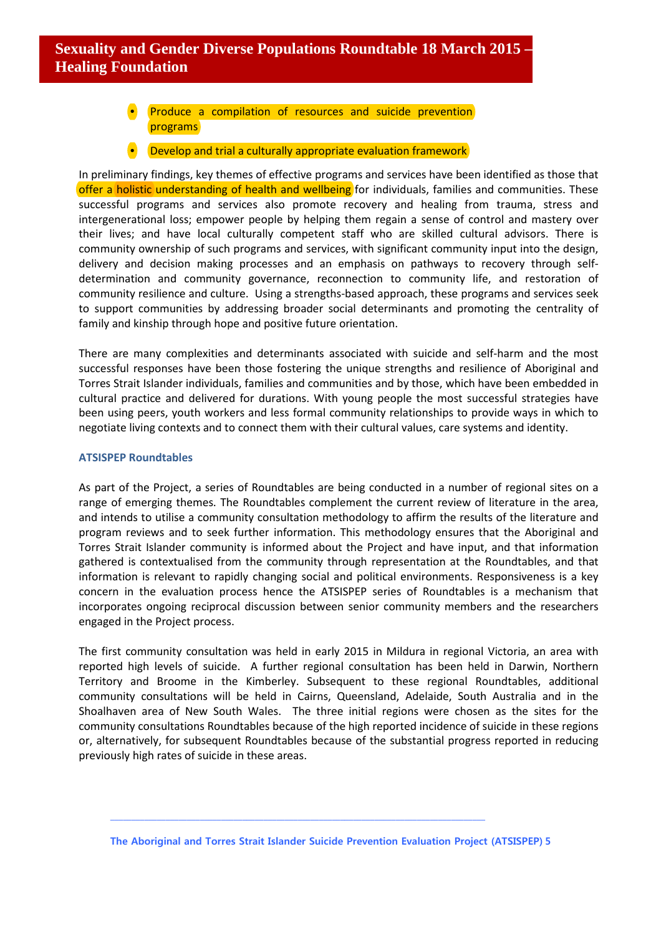- Produce a compilation of resources and suicide prevention programs
- Develop and trial a culturally appropriate evaluation framework

In preliminary findings, key themes of effective programs and services have been identified as those that offer a holistic understanding of health and wellbeing for individuals, families and communities. These successful programs and services also promote recovery and healing from trauma, stress and intergenerational loss; empower people by helping them regain a sense of control and mastery over their lives; and have local culturally competent staff who are skilled cultural advisors. There is community ownership of such programs and services, with significant community input into the design, delivery and decision making processes and an emphasis on pathways to recovery through selfdetermination and community governance, reconnection to community life, and restoration of community resilience and culture. Using a strengths-based approach, these programs and services seek to support communities by addressing broader social determinants and promoting the centrality of family and kinship through hope and positive future orientation.

There are many complexities and determinants associated with suicide and self-harm and the most successful responses have been those fostering the unique strengths and resilience of Aboriginal and Torres Strait Islander individuals, families and communities and by those, which have been embedded in cultural practice and delivered for durations. With young people the most successful strategies have been using peers, youth workers and less formal community relationships to provide ways in which to negotiate living contexts and to connect them with their cultural values, care systems and identity.

#### **ATSISPEP Roundtables**

As part of the Project, a series of Roundtables are being conducted in a number of regional sites on a range of emerging themes. The Roundtables complement the current review of literature in the area, and intends to utilise a community consultation methodology to affirm the results of the literature and program reviews and to seek further information. This methodology ensures that the Aboriginal and Torres Strait Islander community is informed about the Project and have input, and that information gathered is contextualised from the community through representation at the Roundtables, and that information is relevant to rapidly changing social and political environments. Responsiveness is a key concern in the evaluation process hence the ATSISPEP series of Roundtables is a mechanism that incorporates ongoing reciprocal discussion between senior community members and the researchers engaged in the Project process.

The first community consultation was held in early 2015 in Mildura in regional Victoria, an area with reported high levels of suicide. A further regional consultation has been held in Darwin, Northern Territory and Broome in the Kimberley. Subsequent to these regional Roundtables, additional community consultations will be held in Cairns, Queensland, Adelaide, South Australia and in the Shoalhaven area of New South Wales. The three initial regions were chosen as the sites for the community consultations Roundtables because of the high reported incidence of suicide in these regions or, alternatively, for subsequent Roundtables because of the substantial progress reported in reducing previously high rates of suicide in these areas.

**The Aboriginal and Torres Strait Islander Suicide Prevention Evaluation Project (ATSISPEP) 5**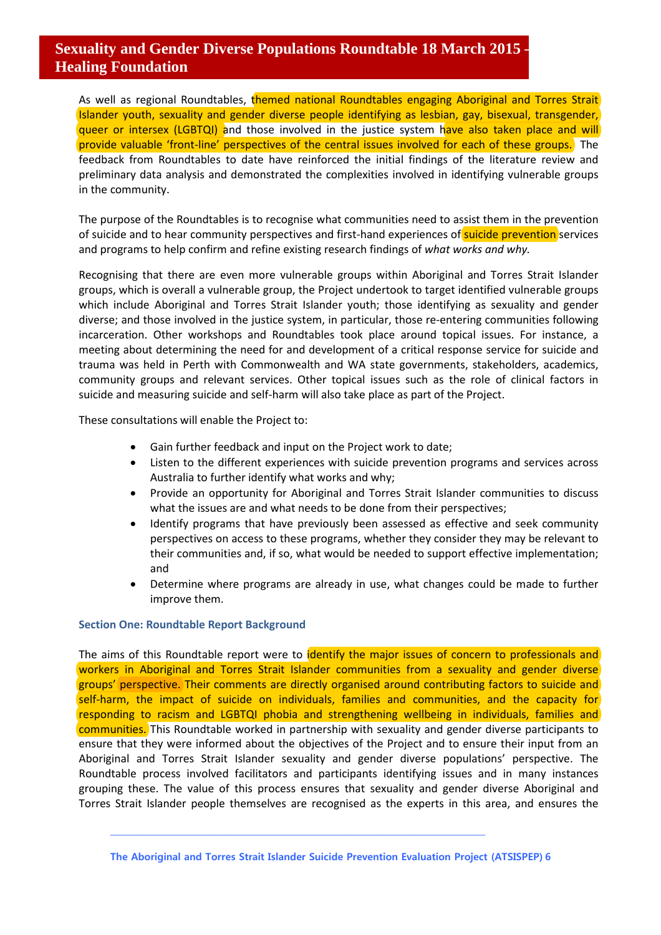As well as regional Roundtables, themed national Roundtables engaging Aboriginal and Torres Strait Islander youth, sexuality and gender diverse people identifying as lesbian, gay, bisexual, transgender, queer or intersex (LGBTQI) and those involved in the justice system have also taken place and will provide valuable 'front-line' perspectives of the central issues involved for each of these groups. The feedback from Roundtables to date have reinforced the initial findings of the literature review and preliminary data analysis and demonstrated the complexities involved in identifying vulnerable groups in the community.

The purpose of the Roundtables is to recognise what communities need to assist them in the prevention of suicide and to hear community perspectives and first-hand experiences of suicide prevention services and programs to help confirm and refine existing research findings of *what works and why.* 

Recognising that there are even more vulnerable groups within Aboriginal and Torres Strait Islander groups, which is overall a vulnerable group, the Project undertook to target identified vulnerable groups which include Aboriginal and Torres Strait Islander youth; those identifying as sexuality and gender diverse; and those involved in the justice system, in particular, those re-entering communities following incarceration. Other workshops and Roundtables took place around topical issues. For instance, a meeting about determining the need for and development of a critical response service for suicide and trauma was held in Perth with Commonwealth and WA state governments, stakeholders, academics, community groups and relevant services. Other topical issues such as the role of clinical factors in suicide and measuring suicide and self-harm will also take place as part of the Project.

These consultations will enable the Project to:

- Gain further feedback and input on the Project work to date;
- Listen to the different experiences with suicide prevention programs and services across Australia to further identify what works and why;
- Provide an opportunity for Aboriginal and Torres Strait Islander communities to discuss what the issues are and what needs to be done from their perspectives;
- Identify programs that have previously been assessed as effective and seek community perspectives on access to these programs, whether they consider they may be relevant to their communities and, if so, what would be needed to support effective implementation; and
- Determine where programs are already in use, what changes could be made to further improve them.

### **Section One: Roundtable Report Background**

The aims of this Roundtable report were to identify the major issues of concern to professionals and workers in Aboriginal and Torres Strait Islander communities from a sexuality and gender diverse groups' perspective. Their comments are directly organised around contributing factors to suicide and self-harm, the impact of suicide on individuals, families and communities, and the capacity for responding to racism and LGBTQI phobia and strengthening wellbeing in individuals, families and communities. This Roundtable worked in partnership with sexuality and gender diverse participants to ensure that they were informed about the objectives of the Project and to ensure their input from an Aboriginal and Torres Strait Islander sexuality and gender diverse populations' perspective. The Roundtable process involved facilitators and participants identifying issues and in many instances grouping these. The value of this process ensures that sexuality and gender diverse Aboriginal and Torres Strait Islander people themselves are recognised as the experts in this area, and ensures the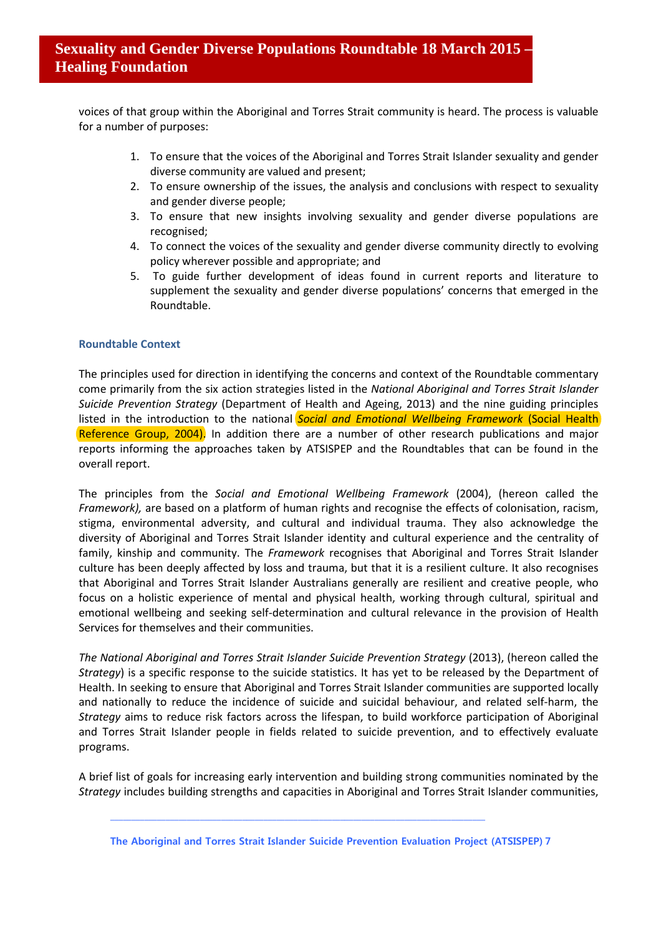voices of that group within the Aboriginal and Torres Strait community is heard. The process is valuable for a number of purposes:

- 1. To ensure that the voices of the Aboriginal and Torres Strait Islander sexuality and gender diverse community are valued and present;
- 2. To ensure ownership of the issues, the analysis and conclusions with respect to sexuality and gender diverse people;
- 3. To ensure that new insights involving sexuality and gender diverse populations are recognised;
- 4. To connect the voices of the sexuality and gender diverse community directly to evolving policy wherever possible and appropriate; and
- 5. To guide further development of ideas found in current reports and literature to supplement the sexuality and gender diverse populations' concerns that emerged in the Roundtable.

## **Roundtable Context**

The principles used for direction in identifying the concerns and context of the Roundtable commentary come primarily from the six action strategies listed in the *National Aboriginal and Torres Strait Islander Suicide Prevention Strategy* (Department of Health and Ageing, 2013) and the nine guiding principles listed in the introduction to the national **Social and Emotional Wellbeing Framework (Social Health**) Reference Group, 2004). In addition there are a number of other research publications and major reports informing the approaches taken by ATSISPEP and the Roundtables that can be found in the overall report.

The principles from the *Social and Emotional Wellbeing Framework* (2004), (hereon called the *Framework),* are based on a platform of human rights and recognise the effects of colonisation, racism, stigma, environmental adversity, and cultural and individual trauma. They also acknowledge the diversity of Aboriginal and Torres Strait Islander identity and cultural experience and the centrality of family, kinship and community. The *Framework* recognises that Aboriginal and Torres Strait Islander culture has been deeply affected by loss and trauma, but that it is a resilient culture. It also recognises that Aboriginal and Torres Strait Islander Australians generally are resilient and creative people, who focus on a holistic experience of mental and physical health, working through cultural, spiritual and emotional wellbeing and seeking self-determination and cultural relevance in the provision of Health Services for themselves and their communities.

*The National Aboriginal and Torres Strait Islander Suicide Prevention Strategy* (2013), (hereon called the *Strategy*) is a specific response to the suicide statistics. It has yet to be released by the Department of Health. In seeking to ensure that Aboriginal and Torres Strait Islander communities are supported locally and nationally to reduce the incidence of suicide and suicidal behaviour, and related self-harm, the *Strategy* aims to reduce risk factors across the lifespan, to build workforce participation of Aboriginal and Torres Strait Islander people in fields related to suicide prevention, and to effectively evaluate programs.

A brief list of goals for increasing early intervention and building strong communities nominated by the *Strategy* includes building strengths and capacities in Aboriginal and Torres Strait Islander communities,

**The Aboriginal and Torres Strait Islander Suicide Prevention Evaluation Project (ATSISPEP) 7**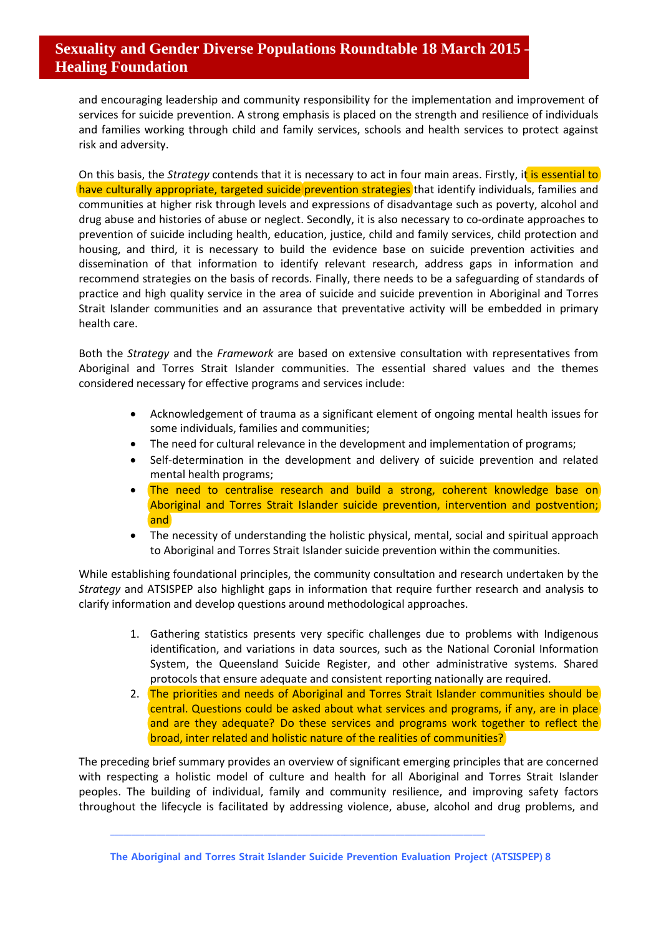and encouraging leadership and community responsibility for the implementation and improvement of services for suicide prevention. A strong emphasis is placed on the strength and resilience of individuals and families working through child and family services, schools and health services to protect against risk and adversity.

On this basis, the *Strategy* contends that it is necessary to act in four main areas. Firstly, it is essential to have culturally appropriate, targeted suicide prevention strategies that identify individuals, families and communities at higher risk through levels and expressions of disadvantage such as poverty, alcohol and drug abuse and histories of abuse or neglect. Secondly, it is also necessary to co-ordinate approaches to prevention of suicide including health, education, justice, child and family services, child protection and housing, and third, it is necessary to build the evidence base on suicide prevention activities and dissemination of that information to identify relevant research, address gaps in information and recommend strategies on the basis of records. Finally, there needs to be a safeguarding of standards of practice and high quality service in the area of suicide and suicide prevention in Aboriginal and Torres Strait Islander communities and an assurance that preventative activity will be embedded in primary health care.

Both the *Strategy* and the *Framework* are based on extensive consultation with representatives from Aboriginal and Torres Strait Islander communities. The essential shared values and the themes considered necessary for effective programs and services include:

- Acknowledgement of trauma as a significant element of ongoing mental health issues for some individuals, families and communities;
- The need for cultural relevance in the development and implementation of programs;
- Self-determination in the development and delivery of suicide prevention and related mental health programs;
- The need to centralise research and build a strong, coherent knowledge base on Aboriginal and Torres Strait Islander suicide prevention, intervention and postvention; and
- The necessity of understanding the holistic physical, mental, social and spiritual approach to Aboriginal and Torres Strait Islander suicide prevention within the communities.

While establishing foundational principles, the community consultation and research undertaken by the *Strategy* and ATSISPEP also highlight gaps in information that require further research and analysis to clarify information and develop questions around methodological approaches.

- 1. Gathering statistics presents very specific challenges due to problems with Indigenous identification, and variations in data sources, such as the National Coronial Information System, the Queensland Suicide Register, and other administrative systems. Shared protocols that ensure adequate and consistent reporting nationally are required.
- 2. The priorities and needs of Aboriginal and Torres Strait Islander communities should be central. Questions could be asked about what services and programs, if any, are in place and are they adequate? Do these services and programs work together to reflect the broad, inter related and holistic nature of the realities of communities?

The preceding brief summary provides an overview of significant emerging principles that are concerned with respecting a holistic model of culture and health for all Aboriginal and Torres Strait Islander peoples. The building of individual, family and community resilience, and improving safety factors throughout the lifecycle is facilitated by addressing violence, abuse, alcohol and drug problems, and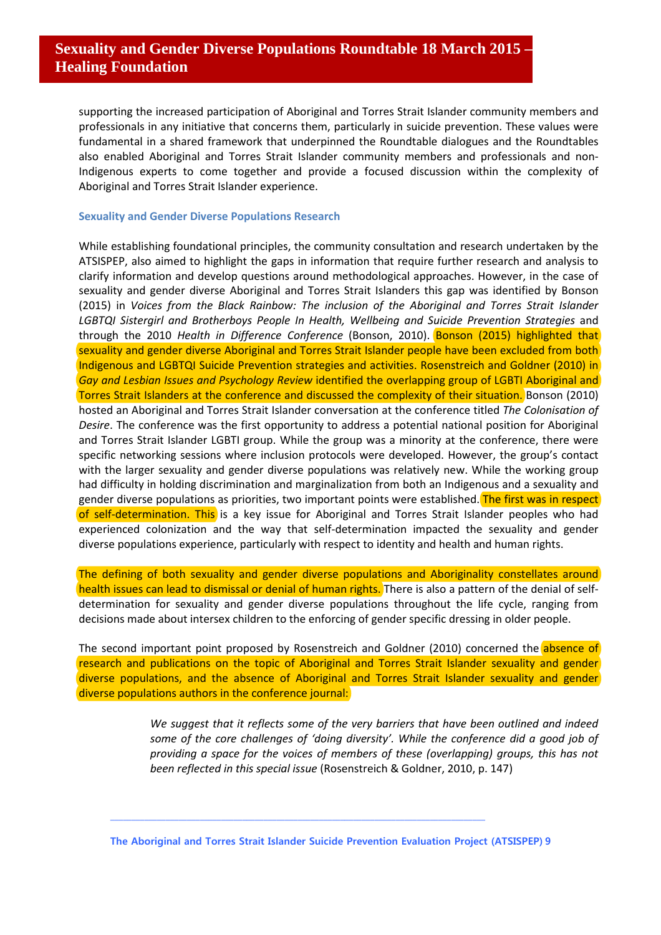supporting the increased participation of Aboriginal and Torres Strait Islander community members and professionals in any initiative that concerns them, particularly in suicide prevention. These values were fundamental in a shared framework that underpinned the Roundtable dialogues and the Roundtables also enabled Aboriginal and Torres Strait Islander community members and professionals and non-Indigenous experts to come together and provide a focused discussion within the complexity of Aboriginal and Torres Strait Islander experience.

#### **Sexuality and Gender Diverse Populations Research**

While establishing foundational principles, the community consultation and research undertaken by the ATSISPEP, also aimed to highlight the gaps in information that require further research and analysis to clarify information and develop questions around methodological approaches. However, in the case of sexuality and gender diverse Aboriginal and Torres Strait Islanders this gap was identified by Bonson (2015) in *Voices from the Black Rainbow: The inclusion of the Aboriginal and Torres Strait Islander LGBTQI Sistergirl and Brotherboys People In Health, Wellbeing and Suicide Prevention Strategies* and through the 2010 *Health in Difference Conference* (Bonson, 2010). Bonson (2015) highlighted that sexuality and gender diverse Aboriginal and Torres Strait Islander people have been excluded from both Indigenous and LGBTQI Suicide Prevention strategies and activities. Rosenstreich and Goldner (2010) in *Gay and Lesbian Issues and Psychology Review* identified the overlapping group of LGBTI Aboriginal and Torres Strait Islanders at the conference and discussed the complexity of their situation. Bonson (2010) hosted an Aboriginal and Torres Strait Islander conversation at the conference titled *The Colonisation of Desire*. The conference was the first opportunity to address a potential national position for Aboriginal and Torres Strait Islander LGBTI group. While the group was a minority at the conference, there were specific networking sessions where inclusion protocols were developed. However, the group's contact with the larger sexuality and gender diverse populations was relatively new. While the working group had difficulty in holding discrimination and marginalization from both an Indigenous and a sexuality and gender diverse populations as priorities, two important points were established. The first was in respect of self-determination. This is a key issue for Aboriginal and Torres Strait Islander peoples who had experienced colonization and the way that self-determination impacted the sexuality and gender diverse populations experience, particularly with respect to identity and health and human rights.

The defining of both sexuality and gender diverse populations and Aboriginality constellates around health issues can lead to dismissal or denial of human rights. There is also a pattern of the denial of selfdetermination for sexuality and gender diverse populations throughout the life cycle, ranging from decisions made about intersex children to the enforcing of gender specific dressing in older people.

The second important point proposed by Rosenstreich and Goldner (2010) concerned the absence of research and publications on the topic of Aboriginal and Torres Strait Islander sexuality and gender diverse populations, and the absence of Aboriginal and Torres Strait Islander sexuality and gender diverse populations authors in the conference journal:

> *We suggest that it reflects some of the very barriers that have been outlined and indeed some of the core challenges of 'doing diversity'. While the conference did a good job of providing a space for the voices of members of these (overlapping) groups, this has not been reflected in this special issue* (Rosenstreich & Goldner, 2010, p. 147)

**The Aboriginal and Torres Strait Islander Suicide Prevention Evaluation Project (ATSISPEP) 9**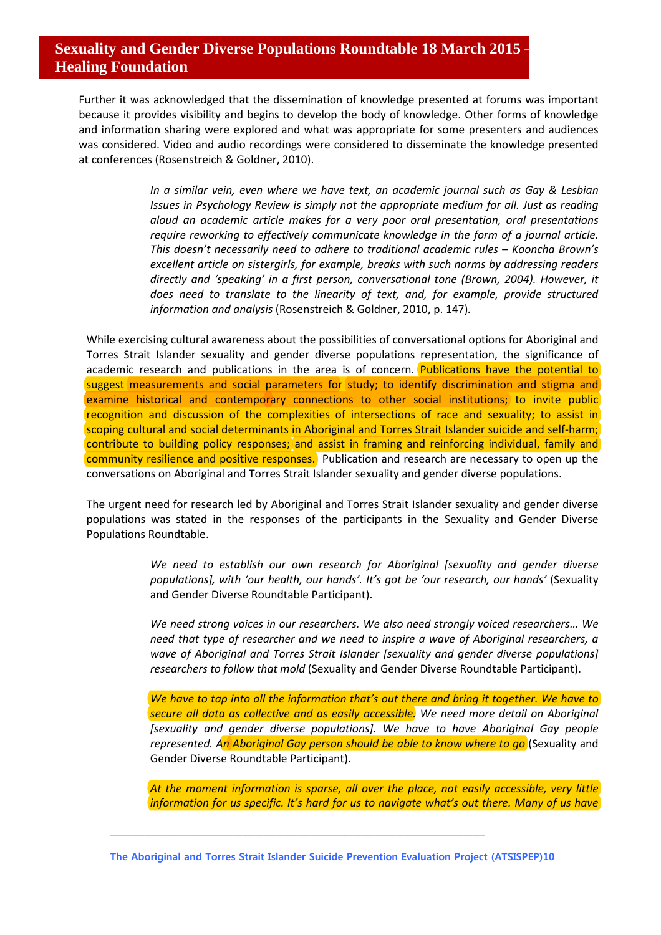Further it was acknowledged that the dissemination of knowledge presented at forums was important because it provides visibility and begins to develop the body of knowledge. Other forms of knowledge and information sharing were explored and what was appropriate for some presenters and audiences was considered. Video and audio recordings were considered to disseminate the knowledge presented at conferences (Rosenstreich & Goldner, 2010).

> *In a similar vein, even where we have text, an academic journal such as Gay & Lesbian Issues in Psychology Review is simply not the appropriate medium for all. Just as reading aloud an academic article makes for a very poor oral presentation, oral presentations require reworking to effectively communicate knowledge in the form of a journal article. This doesn't necessarily need to adhere to traditional academic rules – Kooncha Brown's excellent article on sistergirls, for example, breaks with such norms by addressing readers directly and 'speaking' in a first person, conversational tone (Brown, 2004). However, it does need to translate to the linearity of text, and, for example, provide structured information and analysis* (Rosenstreich & Goldner, 2010, p. 147)*.*

While exercising cultural awareness about the possibilities of conversational options for Aboriginal and Torres Strait Islander sexuality and gender diverse populations representation, the significance of academic research and publications in the area is of concern. Publications have the potential to suggest measurements and social parameters for study; to identify discrimination and stigma and examine historical and contemporary connections to other social institutions; to invite public recognition and discussion of the complexities of intersections of race and sexuality; to assist in scoping cultural and social determinants in Aboriginal and Torres Strait Islander suicide and self-harm; contribute to building policy responses; and assist in framing and reinforcing individual, family and community resilience and positive responses. Publication and research are necessary to open up the conversations on Aboriginal and Torres Strait Islander sexuality and gender diverse populations.

The urgent need for research led by Aboriginal and Torres Strait Islander sexuality and gender diverse populations was stated in the responses of the participants in the Sexuality and Gender Diverse Populations Roundtable.

> *We need to establish our own research for Aboriginal [sexuality and gender diverse populations], with 'our health, our hands'. It's got be 'our research, our hands'* (Sexuality and Gender Diverse Roundtable Participant).

> *We need strong voices in our researchers. We also need strongly voiced researchers… We need that type of researcher and we need to inspire a wave of Aboriginal researchers, a wave of Aboriginal and Torres Strait Islander [sexuality and gender diverse populations] researchers to follow that mold* (Sexuality and Gender Diverse Roundtable Participant).

> *We have to tap into all the information that's out there and bring it together. We have to secure all data as collective and as easily accessible. We need more detail on Aboriginal [sexuality and gender diverse populations]. We have to have Aboriginal Gay people represented. An Aboriginal Gay person should be able to know where to go* (Sexuality and Gender Diverse Roundtable Participant).

> *At the moment information is sparse, all over the place, not easily accessible, very little information for us specific. It's hard for us to navigate what's out there. Many of us have*

**The Aboriginal and Torres Strait Islander Suicide Prevention Evaluation Project (ATSISPEP)10**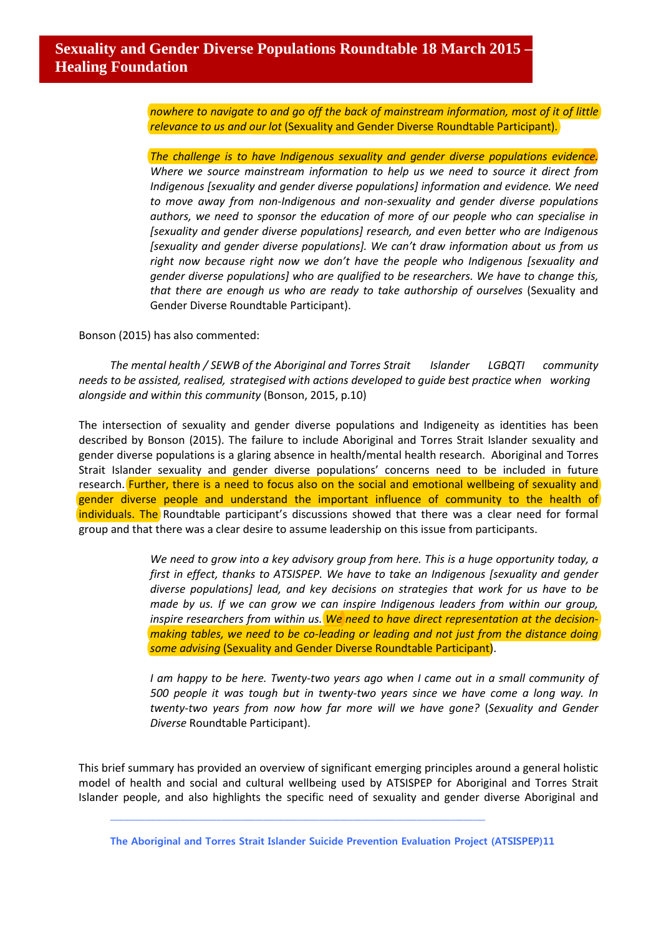*nowhere to navigate to and go off the back of mainstream information, most of it of little relevance to us and our lot* (Sexuality and Gender Diverse Roundtable Participant).

*The challenge is to have Indigenous sexuality and gender diverse populations evidence. Where we source mainstream information to help us we need to source it direct from Indigenous [sexuality and gender diverse populations] information and evidence. We need to move away from non-Indigenous and non-sexuality and gender diverse populations authors, we need to sponsor the education of more of our people who can specialise in [sexuality and gender diverse populations] research, and even better who are Indigenous [sexuality and gender diverse populations]. We can't draw information about us from us right now because right now we don't have the people who Indigenous [sexuality and gender diverse populations] who are qualified to be researchers. We have to change this, that there are enough us who are ready to take authorship of ourselves* (Sexuality and Gender Diverse Roundtable Participant).

Bonson (2015) has also commented:

*The mental health / SEWB of the Aboriginal and Torres Strait Islander LGBQTI community needs to be assisted, realised, strategised with actions developed to guide best practice when working alongside and within this community* (Bonson, 2015, p.10)

The intersection of sexuality and gender diverse populations and Indigeneity as identities has been described by Bonson (2015). The failure to include Aboriginal and Torres Strait Islander sexuality and gender diverse populations is a glaring absence in health/mental health research. Aboriginal and Torres Strait Islander sexuality and gender diverse populations' concerns need to be included in future research. Further, there is a need to focus also on the social and emotional wellbeing of sexuality and gender diverse people and understand the important influence of community to the health of individuals. The Roundtable participant's discussions showed that there was a clear need for formal group and that there was a clear desire to assume leadership on this issue from participants.

> *We need to grow into a key advisory group from here. This is a huge opportunity today, a first in effect, thanks to ATSISPEP. We have to take an Indigenous [sexuality and gender diverse populations] lead, and key decisions on strategies that work for us have to be made by us. If we can grow we can inspire Indigenous leaders from within our group, inspire researchers from within us. We need to have direct representation at the decisionmaking tables, we need to be co-leading or leading and not just from the distance doing some advising* (Sexuality and Gender Diverse Roundtable Participant).

> *I am happy to be here. Twenty-two years ago when I came out in a small community of 500 people it was tough but in twenty-two years since we have come a long way. In twenty-two years from now how far more will we have gone?* (*Sexuality and Gender Diverse* Roundtable Participant).

This brief summary has provided an overview of significant emerging principles around a general holistic model of health and social and cultural wellbeing used by ATSISPEP for Aboriginal and Torres Strait Islander people, and also highlights the specific need of sexuality and gender diverse Aboriginal and

**The Aboriginal and Torres Strait Islander Suicide Prevention Evaluation Project (ATSISPEP)11**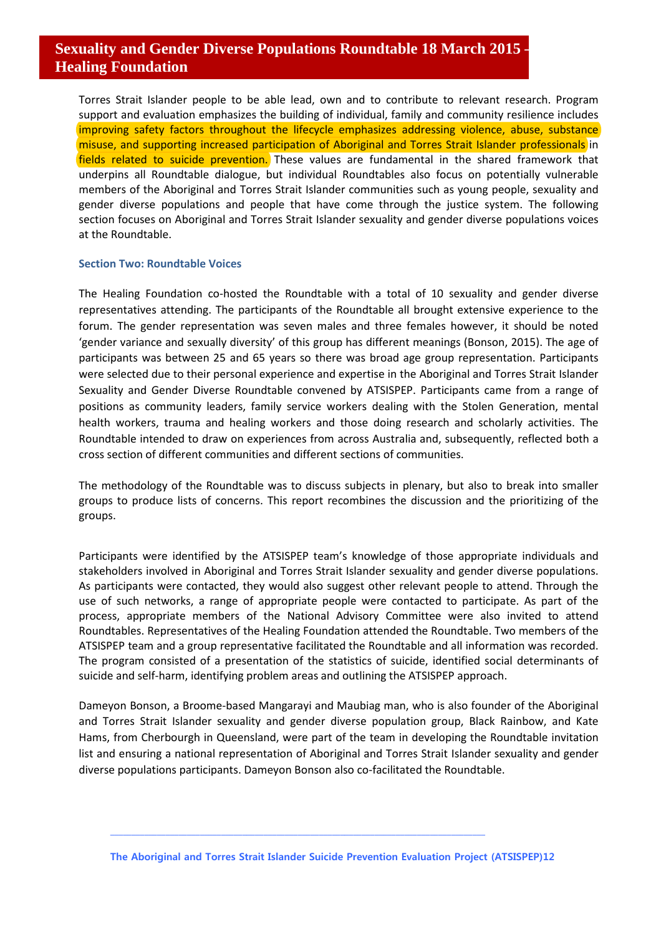Torres Strait Islander people to be able lead, own and to contribute to relevant research. Program support and evaluation emphasizes the building of individual, family and community resilience includes improving safety factors throughout the lifecycle emphasizes addressing violence, abuse, substance misuse, and supporting increased participation of Aboriginal and Torres Strait Islander professionals in fields related to suicide prevention. These values are fundamental in the shared framework that underpins all Roundtable dialogue, but individual Roundtables also focus on potentially vulnerable members of the Aboriginal and Torres Strait Islander communities such as young people, sexuality and gender diverse populations and people that have come through the justice system. The following section focuses on Aboriginal and Torres Strait Islander sexuality and gender diverse populations voices at the Roundtable.

#### **Section Two: Roundtable Voices**

The Healing Foundation co-hosted the Roundtable with a total of 10 sexuality and gender diverse representatives attending. The participants of the Roundtable all brought extensive experience to the forum. The gender representation was seven males and three females however, it should be noted 'gender variance and sexually diversity' of this group has different meanings (Bonson, 2015). The age of participants was between 25 and 65 years so there was broad age group representation. Participants were selected due to their personal experience and expertise in the Aboriginal and Torres Strait Islander Sexuality and Gender Diverse Roundtable convened by ATSISPEP. Participants came from a range of positions as community leaders, family service workers dealing with the Stolen Generation, mental health workers, trauma and healing workers and those doing research and scholarly activities. The Roundtable intended to draw on experiences from across Australia and, subsequently, reflected both a cross section of different communities and different sections of communities.

The methodology of the Roundtable was to discuss subjects in plenary, but also to break into smaller groups to produce lists of concerns. This report recombines the discussion and the prioritizing of the groups.

Participants were identified by the ATSISPEP team's knowledge of those appropriate individuals and stakeholders involved in Aboriginal and Torres Strait Islander sexuality and gender diverse populations. As participants were contacted, they would also suggest other relevant people to attend. Through the use of such networks, a range of appropriate people were contacted to participate. As part of the process, appropriate members of the National Advisory Committee were also invited to attend Roundtables. Representatives of the Healing Foundation attended the Roundtable. Two members of the ATSISPEP team and a group representative facilitated the Roundtable and all information was recorded. The program consisted of a presentation of the statistics of suicide, identified social determinants of suicide and self-harm, identifying problem areas and outlining the ATSISPEP approach.

Dameyon Bonson, a Broome-based Mangarayi and Maubiag man, who is also founder of the Aboriginal and Torres Strait Islander sexuality and gender diverse population group, Black Rainbow, and Kate Hams, from Cherbourgh in Queensland, were part of the team in developing the Roundtable invitation list and ensuring a national representation of Aboriginal and Torres Strait Islander sexuality and gender diverse populations participants. Dameyon Bonson also co-facilitated the Roundtable.

**The Aboriginal and Torres Strait Islander Suicide Prevention Evaluation Project (ATSISPEP)12**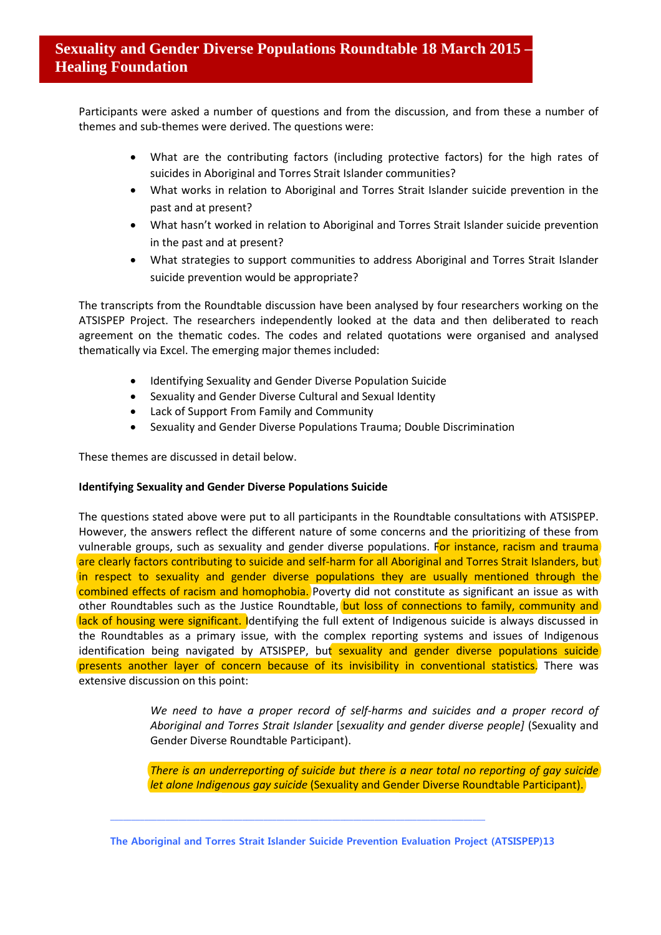Participants were asked a number of questions and from the discussion, and from these a number of themes and sub-themes were derived. The questions were:

- What are the contributing factors (including protective factors) for the high rates of suicides in Aboriginal and Torres Strait Islander communities?
- What works in relation to Aboriginal and Torres Strait Islander suicide prevention in the past and at present?
- What hasn't worked in relation to Aboriginal and Torres Strait Islander suicide prevention in the past and at present?
- What strategies to support communities to address Aboriginal and Torres Strait Islander suicide prevention would be appropriate?

The transcripts from the Roundtable discussion have been analysed by four researchers working on the ATSISPEP Project. The researchers independently looked at the data and then deliberated to reach agreement on the thematic codes. The codes and related quotations were organised and analysed thematically via Excel. The emerging major themes included:

- Identifying Sexuality and Gender Diverse Population Suicide
- Sexuality and Gender Diverse Cultural and Sexual Identity
- Lack of Support From Family and Community
- Sexuality and Gender Diverse Populations Trauma; Double Discrimination

These themes are discussed in detail below.

### **Identifying Sexuality and Gender Diverse Populations Suicide**

The questions stated above were put to all participants in the Roundtable consultations with ATSISPEP. However, the answers reflect the different nature of some concerns and the prioritizing of these from vulnerable groups, such as sexuality and gender diverse populations. For instance, racism and trauma are clearly factors contributing to suicide and self-harm for all Aboriginal and Torres Strait Islanders, but in respect to sexuality and gender diverse populations they are usually mentioned through the combined effects of racism and homophobia. Poverty did not constitute as significant an issue as with other Roundtables such as the Justice Roundtable, but loss of connections to family, community and lack of housing were significant. Identifying the full extent of Indigenous suicide is always discussed in the Roundtables as a primary issue, with the complex reporting systems and issues of Indigenous identification being navigated by ATSISPEP, but sexuality and gender diverse populations suicide presents another layer of concern because of its invisibility in conventional statistics. There was extensive discussion on this point:

> *We need to have a proper record of self-harms and suicides and a proper record of Aboriginal and Torres Strait Islander* [*sexuality and gender diverse people]* (Sexuality and Gender Diverse Roundtable Participant).

> *There is an underreporting of suicide but there is a near total no reporting of gay suicide let alone Indigenous gay suicide* (Sexuality and Gender Diverse Roundtable Participant).

**The Aboriginal and Torres Strait Islander Suicide Prevention Evaluation Project (ATSISPEP)13**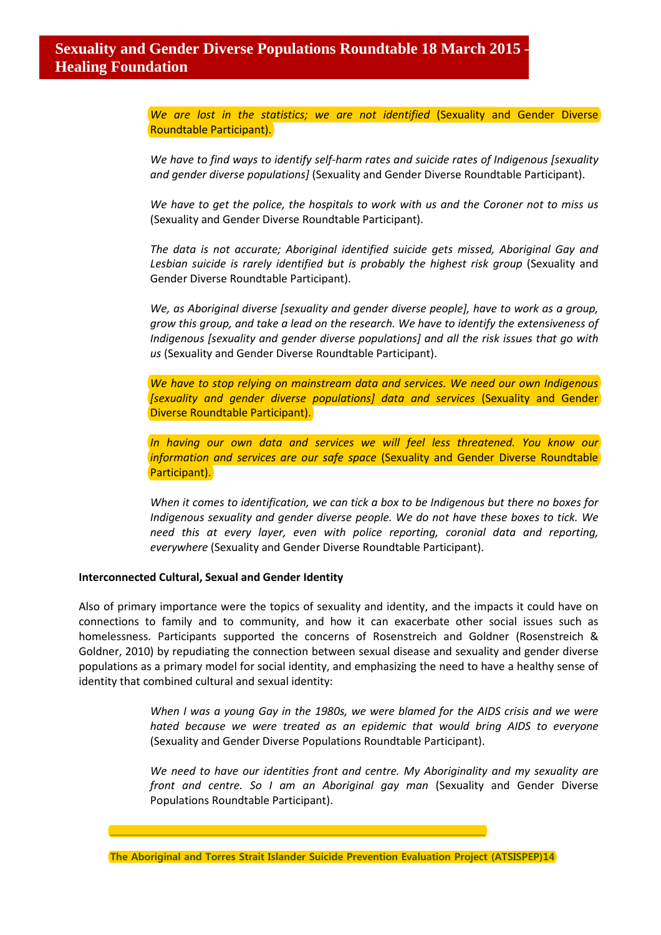*We are lost in the statistics; we are not identified* (Sexuality and Gender Diverse Roundtable Participant).

*We have to find ways to identify self-harm rates and suicide rates of Indigenous [sexuality and gender diverse populations]* (Sexuality and Gender Diverse Roundtable Participant).

*We have to get the police, the hospitals to work with us and the Coroner not to miss us*  (Sexuality and Gender Diverse Roundtable Participant).

*The data is not accurate; Aboriginal identified suicide gets missed, Aboriginal Gay and*  Lesbian suicide is rarely identified but is probably the highest risk group (Sexuality and Gender Diverse Roundtable Participant).

*We, as Aboriginal diverse [sexuality and gender diverse people], have to work as a group, grow this group, and take a lead on the research. We have to identify the extensiveness of Indigenous [sexuality and gender diverse populations] and all the risk issues that go with us* (Sexuality and Gender Diverse Roundtable Participant).

*We have to stop relying on mainstream data and services. We need our own Indigenous [sexuality and gender diverse populations] data and services* (Sexuality and Gender Diverse Roundtable Participant).

*In having our own data and services we will feel less threatened. You know our information and services are our safe space* (Sexuality and Gender Diverse Roundtable) Participant).

*When it comes to identification, we can tick a box to be Indigenous but there no boxes for Indigenous sexuality and gender diverse people. We do not have these boxes to tick. We need this at every layer, even with police reporting, coronial data and reporting, everywhere* (Sexuality and Gender Diverse Roundtable Participant).

#### **Interconnected Cultural, Sexual and Gender Identity**

Also of primary importance were the topics of sexuality and identity, and the impacts it could have on connections to family and to community, and how it can exacerbate other social issues such as homelessness. Participants supported the concerns of Rosenstreich and Goldner (Rosenstreich & Goldner, 2010) by repudiating the connection between sexual disease and sexuality and gender diverse populations as a primary model for social identity, and emphasizing the need to have a healthy sense of identity that combined cultural and sexual identity:

> *When I was a young Gay in the 1980s, we were blamed for the AIDS crisis and we were hated because we were treated as an epidemic that would bring AIDS to everyone* (Sexuality and Gender Diverse Populations Roundtable Participant).

> *We need to have our identities front and centre. My Aboriginality and my sexuality are front and centre. So I am an Aboriginal gay man* (Sexuality and Gender Diverse Populations Roundtable Participant).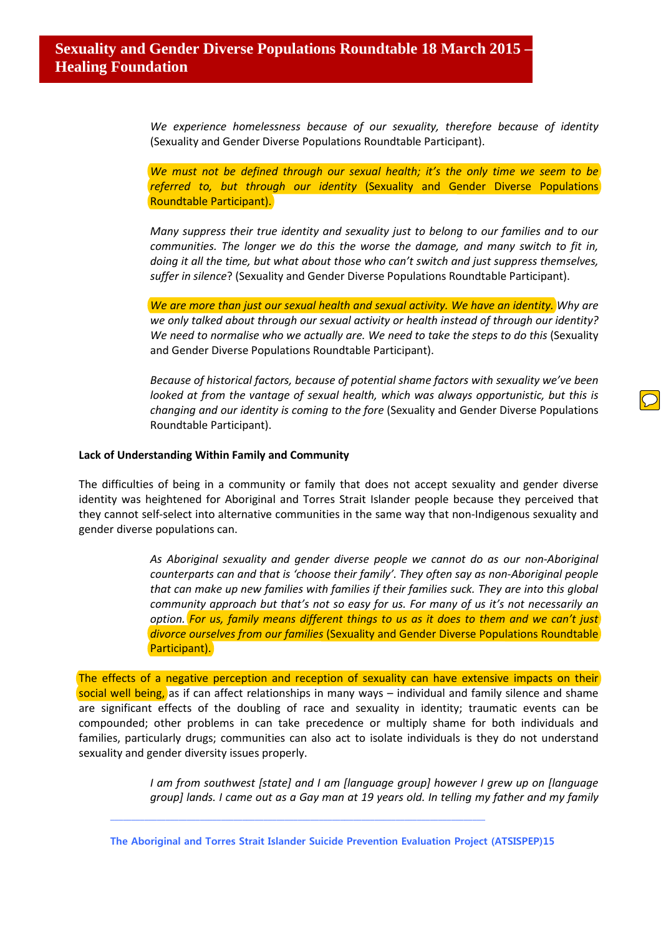*We experience homelessness because of our sexuality, therefore because of identity*  (Sexuality and Gender Diverse Populations Roundtable Participant).

*We must not be defined through our sexual health; it's the only time we seem to be referred to, but through our identity* (Sexuality and Gender Diverse Populations Roundtable Participant).

*Many suppress their true identity and sexuality just to belong to our families and to our communities. The longer we do this the worse the damage, and many switch to fit in, doing it all the time, but what about those who can't switch and just suppress themselves, suffer in silence*? (Sexuality and Gender Diverse Populations Roundtable Participant).

*We are more than just our sexual health and sexual activity. We have an identity. Why are we only talked about through our sexual activity or health instead of through our identity?* We need to normalise who we actually are. We need to take the steps to do this (Sexuality and Gender Diverse Populations Roundtable Participant).

*Because of historical factors, because of potential shame factors with sexuality we've been looked at from the vantage of sexual health, which was always opportunistic, but this is changing and our identity is coming to the fore* (Sexuality and Gender Diverse Populations Roundtable Participant).

#### **Lack of Understanding Within Family and Community**

The difficulties of being in a community or family that does not accept sexuality and gender diverse identity was heightened for Aboriginal and Torres Strait Islander people because they perceived that they cannot self-select into alternative communities in the same way that non-Indigenous sexuality and gender diverse populations can.

> *As Aboriginal sexuality and gender diverse people we cannot do as our non-Aboriginal counterparts can and that is 'choose their family'. They often say as non-Aboriginal people that can make up new families with families if their families suck. They are into this global community approach but that's not so easy for us. For many of us it's not necessarily an option. For us, family means different things to us as it does to them and we can't just divorce ourselves from our families* (Sexuality and Gender Diverse Populations Roundtable Participant).

The effects of a negative perception and reception of sexuality can have extensive impacts on their social well being, as if can affect relationships in many ways – individual and family silence and shame are significant effects of the doubling of race and sexuality in identity; traumatic events can be compounded; other problems in can take precedence or multiply shame for both individuals and families, particularly drugs; communities can also act to isolate individuals is they do not understand sexuality and gender diversity issues properly.

> *I am from southwest [state] and I am [language group] however I grew up on [language group] lands. I came out as a Gay man at 19 years old. In telling my father and my family*

**The Aboriginal and Torres Strait Islander Suicide Prevention Evaluation Project (ATSISPEP)15**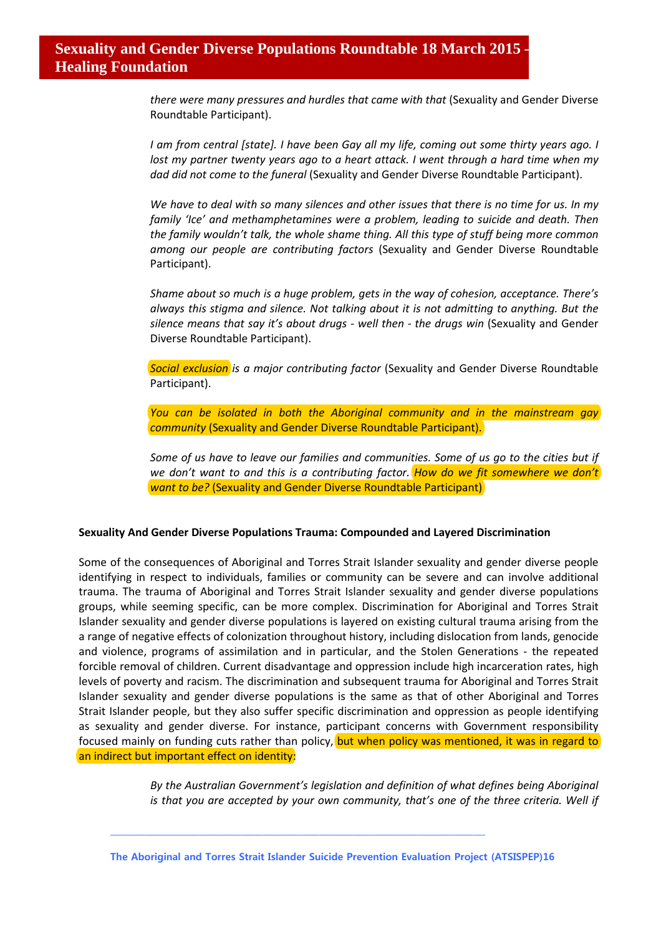*there were many pressures and hurdles that came with that* (Sexuality and Gender Diverse Roundtable Participant).

*I am from central [state]. I have been Gay all my life, coming out some thirty years ago. I lost my partner twenty years ago to a heart attack. I went through a hard time when my dad did not come to the funeral* (Sexuality and Gender Diverse Roundtable Participant).

*We have to deal with so many silences and other issues that there is no time for us. In my family 'Ice' and methamphetamines were a problem, leading to suicide and death. Then the family wouldn't talk, the whole shame thing. All this type of stuff being more common among our people are contributing factors* (Sexuality and Gender Diverse Roundtable Participant).

*Shame about so much is a huge problem, gets in the way of cohesion, acceptance. There's always this stigma and silence. Not talking about it is not admitting to anything. But the silence means that say it's about drugs - well then - the drugs win* (Sexuality and Gender Diverse Roundtable Participant).

*Social exclusion is a major contributing factor* (Sexuality and Gender Diverse Roundtable Participant).

*You can be isolated in both the Aboriginal community and in the mainstream gay community* (Sexuality and Gender Diverse Roundtable Participant).

*Some of us have to leave our families and communities. Some of us go to the cities but if we don't want to and this is a contributing factor. How do we fit somewhere we don't want to be?* (Sexuality and Gender Diverse Roundtable Participant)

### **Sexuality And Gender Diverse Populations Trauma: Compounded and Layered Discrimination**

Some of the consequences of Aboriginal and Torres Strait Islander sexuality and gender diverse people identifying in respect to individuals, families or community can be severe and can involve additional trauma. The trauma of Aboriginal and Torres Strait Islander sexuality and gender diverse populations groups, while seeming specific, can be more complex. Discrimination for Aboriginal and Torres Strait Islander sexuality and gender diverse populations is layered on existing cultural trauma arising from the a range of negative effects of colonization throughout history, including dislocation from lands, genocide and violence, programs of assimilation and in particular, and the Stolen Generations - the repeated forcible removal of children. Current disadvantage and oppression include high incarceration rates, high levels of poverty and racism. The discrimination and subsequent trauma for Aboriginal and Torres Strait Islander sexuality and gender diverse populations is the same as that of other Aboriginal and Torres Strait Islander people, but they also suffer specific discrimination and oppression as people identifying as sexuality and gender diverse. For instance, participant concerns with Government responsibility focused mainly on funding cuts rather than policy, but when policy was mentioned, it was in regard to an indirect but important effect on identity:

> *By the Australian Government's legislation and definition of what defines being Aboriginal is that you are accepted by your own community, that's one of the three criteria. Well if*

**The Aboriginal and Torres Strait Islander Suicide Prevention Evaluation Project (ATSISPEP)16**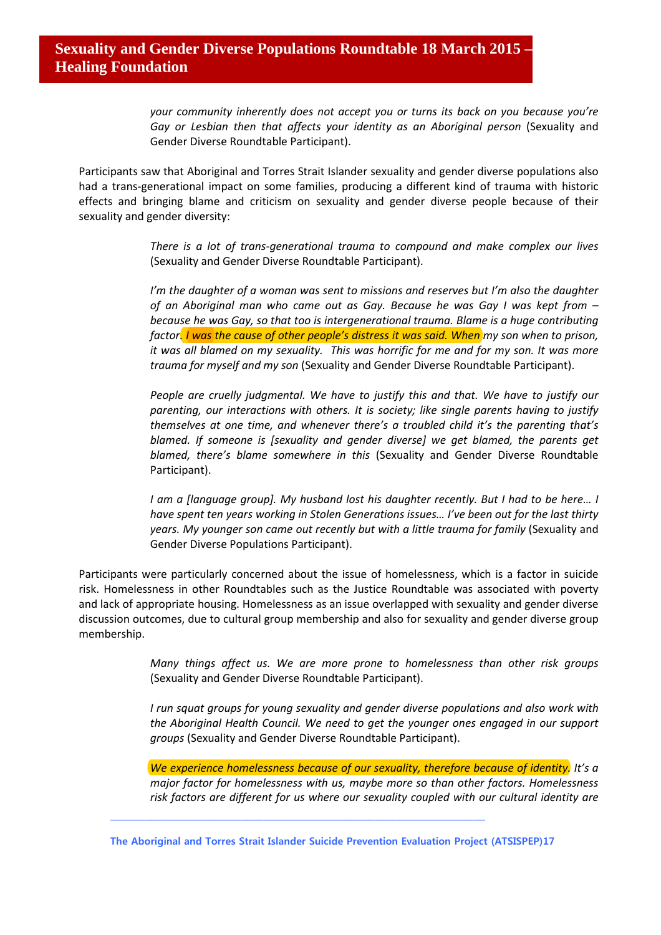*your community inherently does not accept you or turns its back on you because you're*  Gay or Lesbian then that affects your identity as an Aboriginal person (Sexuality and Gender Diverse Roundtable Participant).

Participants saw that Aboriginal and Torres Strait Islander sexuality and gender diverse populations also had a trans-generational impact on some families, producing a different kind of trauma with historic effects and bringing blame and criticism on sexuality and gender diverse people because of their sexuality and gender diversity:

> *There is a lot of trans-generational trauma to compound and make complex our lives*  (Sexuality and Gender Diverse Roundtable Participant).

> *I'm the daughter of a woman was sent to missions and reserves but I'm also the daughter of an Aboriginal man who came out as Gay. Because he was Gay I was kept from – because he was Gay, so that too is intergenerational trauma. Blame is a huge contributing*  factor. I was the cause of other people's distress it was said. When *my son when to prison*, *it was all blamed on my sexuality. This was horrific for me and for my son. It was more trauma for myself and my son* (Sexuality and Gender Diverse Roundtable Participant).

> *People are cruelly judgmental. We have to justify this and that. We have to justify our parenting, our interactions with others. It is society; like single parents having to justify themselves at one time, and whenever there's a troubled child it's the parenting that's blamed. If someone is [sexuality and gender diverse] we get blamed, the parents get blamed, there's blame somewhere in this* (Sexuality and Gender Diverse Roundtable Participant).

> *I am a [language group]. My husband lost his daughter recently. But I had to be here… I have spent ten years working in Stolen Generations issues… I've been out for the last thirty*  years. My younger son came out recently but with a little trauma for family (Sexuality and Gender Diverse Populations Participant).

Participants were particularly concerned about the issue of homelessness, which is a factor in suicide risk. Homelessness in other Roundtables such as the Justice Roundtable was associated with poverty and lack of appropriate housing. Homelessness as an issue overlapped with sexuality and gender diverse discussion outcomes, due to cultural group membership and also for sexuality and gender diverse group membership.

> *Many things affect us. We are more prone to homelessness than other risk groups*  (Sexuality and Gender Diverse Roundtable Participant).

> *I run squat groups for young sexuality and gender diverse populations and also work with the Aboriginal Health Council. We need to get the younger ones engaged in our support groups* (Sexuality and Gender Diverse Roundtable Participant).

> *We experience homelessness because of our sexuality, therefore because of identity. It's a major factor for homelessness with us, maybe more so than other factors. Homelessness risk factors are different for us where our sexuality coupled with our cultural identity are*

**The Aboriginal and Torres Strait Islander Suicide Prevention Evaluation Project (ATSISPEP)17**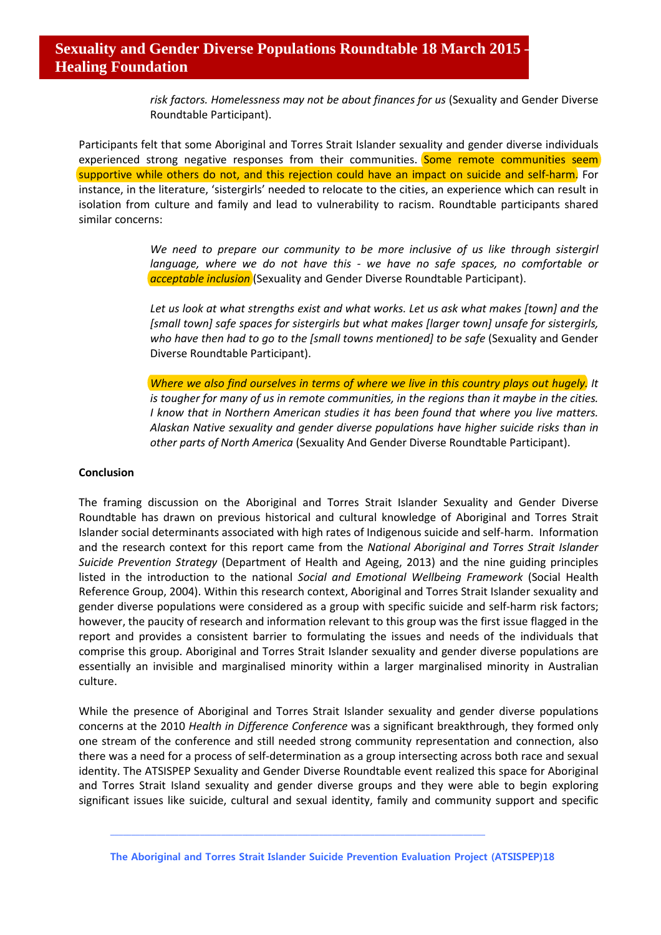*risk factors. Homelessness may not be about finances for us* (Sexuality and Gender Diverse Roundtable Participant).

Participants felt that some Aboriginal and Torres Strait Islander sexuality and gender diverse individuals experienced strong negative responses from their communities. Some remote communities seem supportive while others do not, and this rejection could have an impact on suicide and self-harm. For instance, in the literature, 'sistergirls' needed to relocate to the cities, an experience which can result in isolation from culture and family and lead to vulnerability to racism. Roundtable participants shared similar concerns:

> *We need to prepare our community to be more inclusive of us like through sistergirl language, where we do not have this - we have no safe spaces, no comfortable or acceptable inclusion* (Sexuality and Gender Diverse Roundtable Participant).

> *Let us look at what strengths exist and what works. Let us ask what makes [town] and the [small town] safe spaces for sistergirls but what makes [larger town] unsafe for sistergirls, who have then had to go to the [small towns mentioned] to be safe* (Sexuality and Gender Diverse Roundtable Participant).

> *Where we also find ourselves in terms of where we live in this country plays out hugely. It is tougher for many of us in remote communities, in the regions than it maybe in the cities. I know that in Northern American studies it has been found that where you live matters. Alaskan Native sexuality and gender diverse populations have higher suicide risks than in other parts of North America* (Sexuality And Gender Diverse Roundtable Participant).

#### **Conclusion**

The framing discussion on the Aboriginal and Torres Strait Islander Sexuality and Gender Diverse Roundtable has drawn on previous historical and cultural knowledge of Aboriginal and Torres Strait Islander social determinants associated with high rates of Indigenous suicide and self-harm. Information and the research context for this report came from the *National Aboriginal and Torres Strait Islander Suicide Prevention Strategy* (Department of Health and Ageing, 2013) and the nine guiding principles listed in the introduction to the national *Social and Emotional Wellbeing Framework* (Social Health Reference Group, 2004). Within this research context, Aboriginal and Torres Strait Islander sexuality and gender diverse populations were considered as a group with specific suicide and self-harm risk factors; however, the paucity of research and information relevant to this group was the first issue flagged in the report and provides a consistent barrier to formulating the issues and needs of the individuals that comprise this group. Aboriginal and Torres Strait Islander sexuality and gender diverse populations are essentially an invisible and marginalised minority within a larger marginalised minority in Australian culture.

While the presence of Aboriginal and Torres Strait Islander sexuality and gender diverse populations concerns at the 2010 *Health in Difference Conference* was a significant breakthrough, they formed only one stream of the conference and still needed strong community representation and connection, also there was a need for a process of self-determination as a group intersecting across both race and sexual identity. The ATSISPEP Sexuality and Gender Diverse Roundtable event realized this space for Aboriginal and Torres Strait Island sexuality and gender diverse groups and they were able to begin exploring significant issues like suicide, cultural and sexual identity, family and community support and specific

**The Aboriginal and Torres Strait Islander Suicide Prevention Evaluation Project (ATSISPEP)18**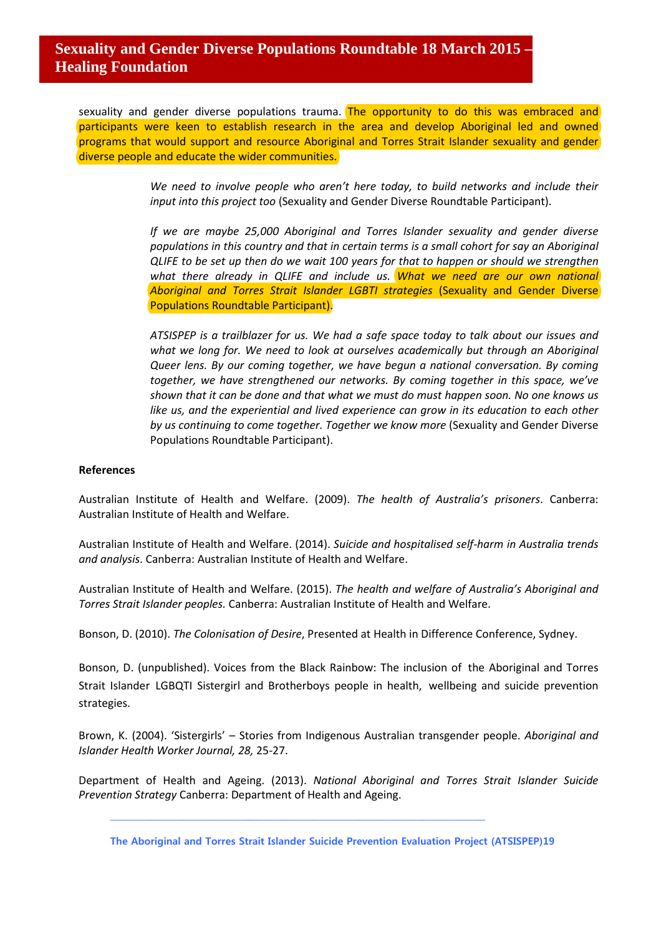sexuality and gender diverse populations trauma. The opportunity to do this was embraced and participants were keen to establish research in the area and develop Aboriginal led and owned programs that would support and resource Aboriginal and Torres Strait Islander sexuality and gender diverse people and educate the wider communities.

> *We need to involve people who aren't here today, to build networks and include their input into this project too* (Sexuality and Gender Diverse Roundtable Participant).

> *If we are maybe 25,000 Aboriginal and Torres Islander sexuality and gender diverse populations in this country and that in certain terms is a small cohort for say an Aboriginal QLIFE to be set up then do we wait 100 years for that to happen or should we strengthen*  what there already in QLIFE and include us. What we need are our own national *Aboriginal and Torres Strait Islander LGBTI strategies* (Sexuality and Gender Diverse Populations Roundtable Participant).

> *ATSISPEP is a trailblazer for us. We had a safe space today to talk about our issues and*  what we long for. We need to look at ourselves academically but through an Aboriginal *Queer lens. By our coming together, we have begun a national conversation. By coming together, we have strengthened our networks. By coming together in this space, we've shown that it can be done and that what we must do must happen soon. No one knows us like us, and the experiential and lived experience can grow in its education to each other by us continuing to come together. Together we know more* (Sexuality and Gender Diverse Populations Roundtable Participant).

#### **References**

Australian Institute of Health and Welfare. (2009). *The health of Australia's prisoners*. Canberra: Australian Institute of Health and Welfare.

Australian Institute of Health and Welfare. (2014). *Suicide and hospitalised self-harm in Australia trends and analysis*. Canberra: Australian Institute of Health and Welfare.

Australian Institute of Health and Welfare. (2015). *The health and welfare of Australia's Aboriginal and Torres Strait Islander peoples.* Canberra: Australian Institute of Health and Welfare.

Bonson, D. (2010). *The Colonisation of Desire*, Presented at Health in Difference Conference, Sydney.

Bonson, D. (unpublished). Voices from the Black Rainbow: The inclusion of the Aboriginal and Torres Strait Islander LGBQTI Sistergirl and Brotherboys people in health, wellbeing and suicide prevention strategies.

Brown, K. (2004). 'Sistergirls' – Stories from Indigenous Australian transgender people. *Aboriginal and Islander Health Worker Journal, 28,* 25-27.

Department of Health and Ageing. (2013). *National Aboriginal and Torres Strait Islander Suicide Prevention Strategy* Canberra: Department of Health and Ageing.

**The Aboriginal and Torres Strait Islander Suicide Prevention Evaluation Project (ATSISPEP)19**